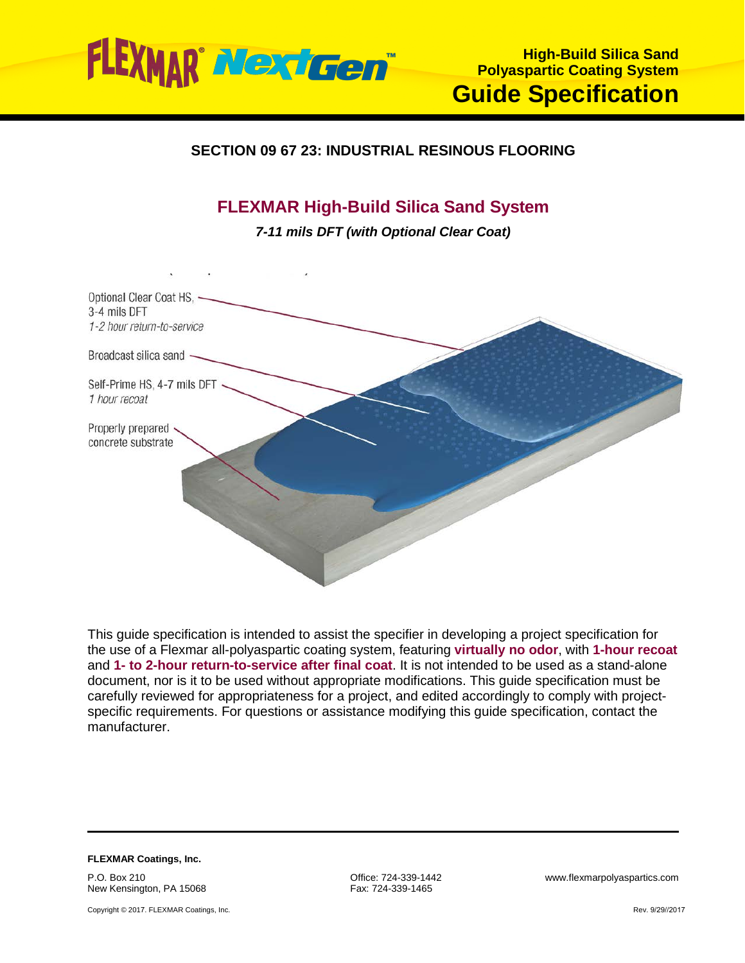

# **SECTION 09 67 23: INDUSTRIAL RESINOUS FLOORING**

# **FLEXMAR High-Build Silica Sand System**

*7-11 mils DFT (with Optional Clear Coat)*



This guide specification is intended to assist the specifier in developing a project specification for the use of a Flexmar all-polyaspartic coating system, featuring **virtually no odor**, with **1-hour recoat** and **1- to 2-hour return-to-service after final coat**. It is not intended to be used as a stand-alone document, nor is it to be used without appropriate modifications. This guide specification must be carefully reviewed for appropriateness for a project, and edited accordingly to comply with projectspecific requirements. For questions or assistance modifying this guide specification, contact the manufacturer.

**FLEXMAR Coatings, Inc.** P.O. Box 210

New Kensington, PA 15068

Copyright © 2017. FLEXMAR Coatings, Inc.

Fax: 724-339-1465

Office: 724-339-1442 www.flexmarpolyaspartics.com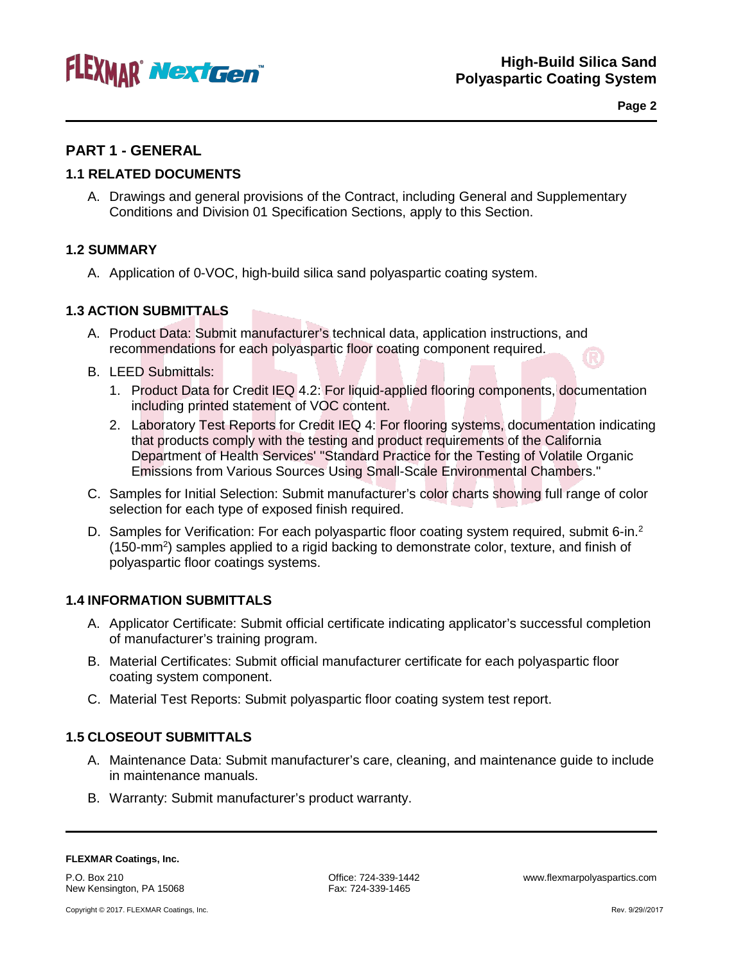

**Page 2**

# **PART 1 - GENERAL**

### **1.1 RELATED DOCUMENTS**

A. Drawings and general provisions of the Contract, including General and Supplementary Conditions and Division 01 Specification Sections, apply to this Section.

### **1.2 SUMMARY**

A. Application of 0-VOC, high-build silica sand polyaspartic coating system.

#### **1.3 ACTION SUBMITTALS**

- A. Product Data: Submit manufacturer's technical data, application instructions, and recommendations for each polyaspartic floor coating component required.
- B. LEED Submittals:
	- 1. Product Data for Credit IEQ 4.2: For liquid-applied flooring components, documentation including printed statement of VOC content.
	- 2. Laboratory Test Reports for Credit IEQ 4: For flooring systems, documentation indicating that products comply with the testing and product requirements of the California Department of Health Services' "Standard Practice for the Testing of Volatile Organic Emissions from Various Sources Using Small-Scale Environmental Chambers."
- C. Samples for Initial Selection: Submit manufacturer's color charts showing full range of color selection for each type of exposed finish required.
- D. Samples for Verification: For each polyaspartic floor coating system required, submit 6-in.<sup>2</sup> (150-mm<sup>2</sup>) samples applied to a rigid backing to demonstrate color, texture, and finish of polyaspartic floor coatings systems.

#### **1.4 INFORMATION SUBMITTALS**

- A. Applicator Certificate: Submit official certificate indicating applicator's successful completion of manufacturer's training program.
- B. Material Certificates: Submit official manufacturer certificate for each polyaspartic floor coating system component.
- C. Material Test Reports: Submit polyaspartic floor coating system test report.

#### **1.5 CLOSEOUT SUBMITTALS**

- A. Maintenance Data: Submit manufacturer's care, cleaning, and maintenance guide to include in maintenance manuals.
- B. Warranty: Submit manufacturer's product warranty.

P.O. Box 210 New Kensington, PA 15068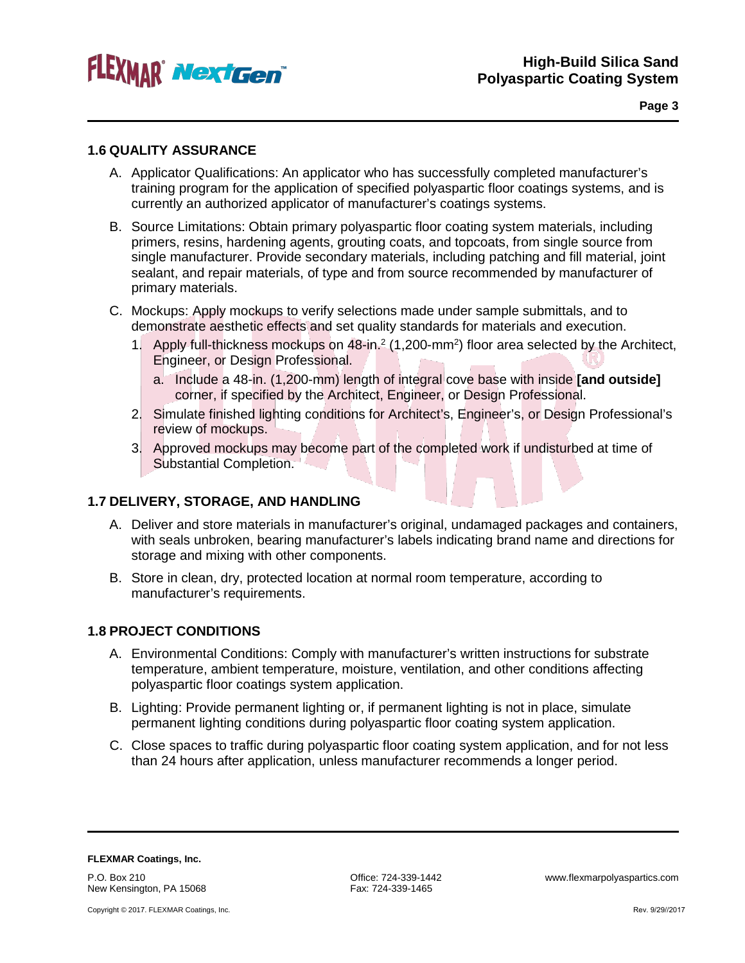

#### **1.6 QUALITY ASSURANCE**

- A. Applicator Qualifications: An applicator who has successfully completed manufacturer's training program for the application of specified polyaspartic floor coatings systems, and is currently an authorized applicator of manufacturer's coatings systems.
- B. Source Limitations: Obtain primary polyaspartic floor coating system materials, including primers, resins, hardening agents, grouting coats, and topcoats, from single source from single manufacturer. Provide secondary materials, including patching and fill material, joint sealant, and repair materials, of type and from source recommended by manufacturer of primary materials.
- C. Mockups: Apply mockups to verify selections made under sample submittals, and to demonstrate aesthetic effects and set quality standards for materials and execution.
	- 1. Apply full-thickness mockups on 48-in.<sup>2</sup> (1,200-mm<sup>2</sup>) floor area selected by the Architect, Engineer, or Design Professional.
		- a. Include a 48-in. (1,200-mm) length of integral cove base with inside **[and outside]** corner, if specified by the Architect, Engineer, or Design Professional.
	- 2. Simulate finished lighting conditions for Architect's, Engineer's, or Design Professional's review of mockups.
	- 3. Approved mockups may become part of the completed work if undisturbed at time of Substantial Completion.

#### **1.7 DELIVERY, STORAGE, AND HANDLING**

- A. Deliver and store materials in manufacturer's original, undamaged packages and containers, with seals unbroken, bearing manufacturer's labels indicating brand name and directions for storage and mixing with other components.
- B. Store in clean, dry, protected location at normal room temperature, according to manufacturer's requirements.

### **1.8 PROJECT CONDITIONS**

- A. Environmental Conditions: Comply with manufacturer's written instructions for substrate temperature, ambient temperature, moisture, ventilation, and other conditions affecting polyaspartic floor coatings system application.
- B. Lighting: Provide permanent lighting or, if permanent lighting is not in place, simulate permanent lighting conditions during polyaspartic floor coating system application.
- C. Close spaces to traffic during polyaspartic floor coating system application, and for not less than 24 hours after application, unless manufacturer recommends a longer period.

**FLEXMAR Coatings, Inc.** P.O. Box 210 New Kensington, PA 15068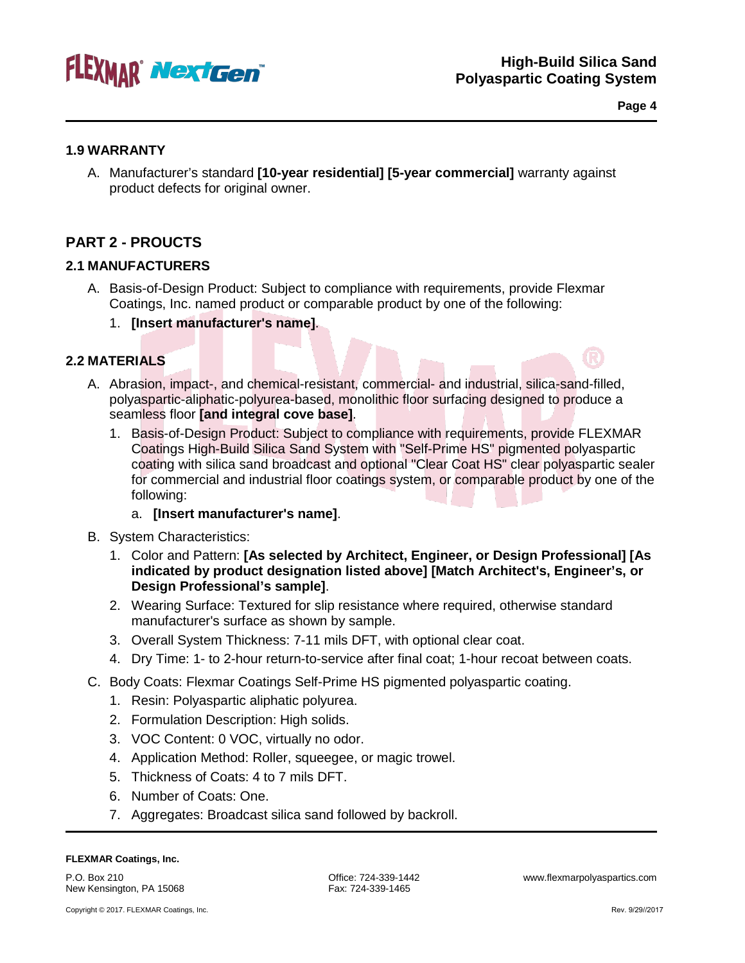

**Page 4**

#### **1.9 WARRANTY**

A. Manufacturer's standard **[10-year residential] [5-year commercial]** warranty against product defects for original owner.

# **PART 2 - PROUCTS**

### **2.1 MANUFACTURERS**

- A. Basis-of-Design Product: Subject to compliance with requirements, provide Flexmar Coatings, Inc. named product or comparable product by one of the following:
	- 1. **[Insert manufacturer's name]**.

### **2.2 MATERIALS**

- A. Abrasion, impact-, and chemical-resistant, commercial- and industrial, silica-sand-filled, polyaspartic-aliphatic-polyurea-based, monolithic floor surfacing designed to produce a seamless floor **[and integral cove base]**.
	- 1. Basis-of-Design Product: Subject to compliance with requirements, provide FLEXMAR Coatings High-Build Silica Sand System with "Self-Prime HS" pigmented polyaspartic coating with silica sand broadcast and optional "Clear Coat HS" clear polyaspartic sealer for commercial and industrial floor coatings system, or comparable product by one of the following:

#### a. **[Insert manufacturer's name]**.

- B. System Characteristics:
	- 1. Color and Pattern: **[As selected by Architect, Engineer, or Design Professional] [As indicated by product designation listed above] [Match Architect's, Engineer's, or Design Professional's sample]**.
	- 2. Wearing Surface: Textured for slip resistance where required, otherwise standard manufacturer's surface as shown by sample.
	- 3. Overall System Thickness: 7-11 mils DFT, with optional clear coat.
	- 4. Dry Time: 1- to 2-hour return-to-service after final coat; 1-hour recoat between coats.
- C. Body Coats: Flexmar Coatings Self-Prime HS pigmented polyaspartic coating.
	- 1. Resin: Polyaspartic aliphatic polyurea.
	- 2. Formulation Description: High solids.
	- 3. VOC Content: 0 VOC, virtually no odor.
	- 4. Application Method: Roller, squeegee, or magic trowel.
	- 5. Thickness of Coats: 4 to 7 mils DFT.
	- 6. Number of Coats: One.
	- 7. Aggregates: Broadcast silica sand followed by backroll.

#### **FLEXMAR Coatings, Inc.**

P.O. Box 210 New Kensington, PA 15068

Office: 724-339-1442 www.flexmarpolyaspartics.com Fax: 724-339-1465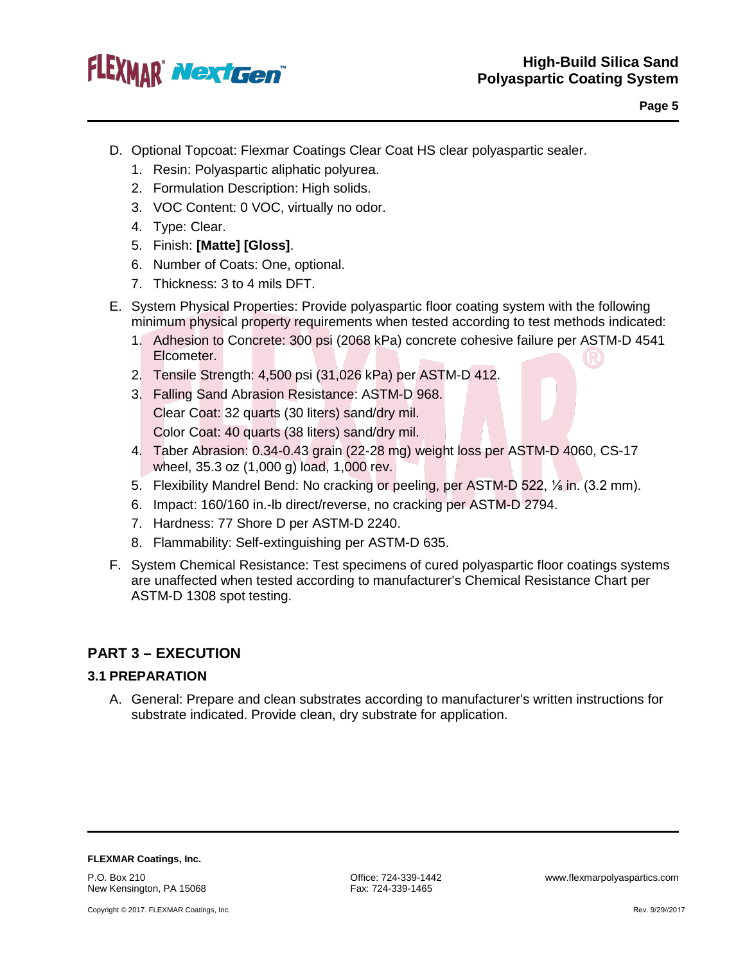

- D. Optional Topcoat: Flexmar Coatings Clear Coat HS clear polyaspartic sealer.
	- 1. Resin: Polyaspartic aliphatic polyurea.
	- 2. Formulation Description: High solids.
	- 3. VOC Content: 0 VOC, virtually no odor.
	- 4. Type: Clear.
	- 5. Finish: **[Matte] [Gloss]**.
	- 6. Number of Coats: One, optional.
	- 7. Thickness: 3 to 4 mils DFT.
- E. System Physical Properties: Provide polyaspartic floor coating system with the following minimum physical property requirements when tested according to test methods indicated:
	- 1. Adhesion to Concrete: 300 psi (2068 kPa) concrete cohesive failure per ASTM-D 4541 Elcometer.
	- 2. Tensile Strength: 4,500 psi (31,026 kPa) per ASTM-D 412.
	- 3. Falling Sand Abrasion Resistance: ASTM-D 968. Clear Coat: 32 quarts (30 liters) sand/dry mil. Color Coat: 40 quarts (38 liters) sand/dry mil.
	- 4. Taber Abrasion: 0.34-0.43 grain (22-28 mg) weight loss per ASTM-D 4060, CS-17 wheel, 35.3 oz (1,000 g) load, 1,000 rev.
	- 5. Flexibility Mandrel Bend: No cracking or peeling, per ASTM-D 522, ⅛ in. (3.2 mm).
	- 6. Impact: 160/160 in.-lb direct/reverse, no cracking per ASTM-D 2794.
	- 7. Hardness: 77 Shore D per ASTM-D 2240.
	- 8. Flammability: Self-extinguishing per ASTM-D 635.
- F. System Chemical Resistance: Test specimens of cured polyaspartic floor coatings systems are unaffected when tested according to manufacturer's Chemical Resistance Chart per ASTM-D 1308 spot testing.

# **PART 3 – EXECUTION**

#### **3.1 PREPARATION**

A. General: Prepare and clean substrates according to manufacturer's written instructions for substrate indicated. Provide clean, dry substrate for application.

**FLEXMAR Coatings, Inc.**

P.O. Box 210 New Kensington, PA 15068

Copyright © 2017. FLEXMAR Coatings, Inc.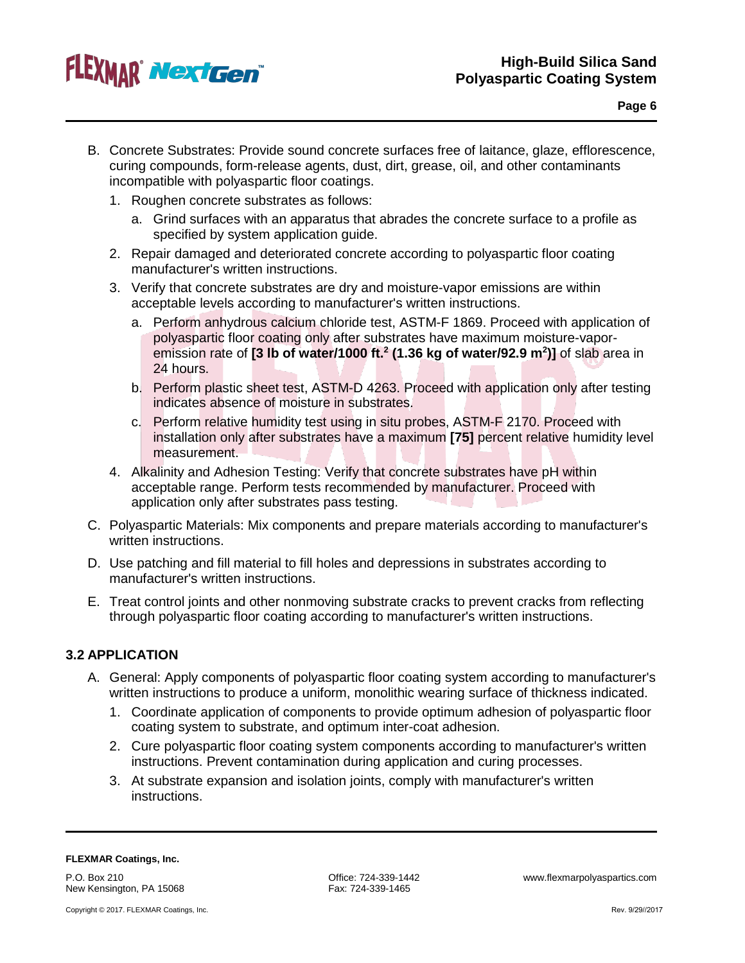

- B. Concrete Substrates: Provide sound concrete surfaces free of laitance, glaze, efflorescence, curing compounds, form-release agents, dust, dirt, grease, oil, and other contaminants incompatible with polyaspartic floor coatings.
	- 1. Roughen concrete substrates as follows:
		- a. Grind surfaces with an apparatus that abrades the concrete surface to a profile as specified by system application guide.
	- 2. Repair damaged and deteriorated concrete according to polyaspartic floor coating manufacturer's written instructions.
	- 3. Verify that concrete substrates are dry and moisture-vapor emissions are within acceptable levels according to manufacturer's written instructions.
		- a. Perform anhydrous calcium chloride test, ASTM-F 1869. Proceed with application of polyaspartic floor coating only after substrates have maximum moisture-vaporemission rate of **[3 lb of water/1000 ft.2 (1.36 kg of water/92.9 m2 )]** of slab area in 24 hours.
		- b. Perform plastic sheet test, ASTM-D 4263. Proceed with application only after testing indicates absence of moisture in substrates.
		- c. Perform relative humidity test using in situ probes, ASTM-F 2170. Proceed with installation only after substrates have a maximum **[75]** percent relative humidity level measurement.
	- 4. Alkalinity and Adhesion Testing: Verify that concrete substrates have pH within acceptable range. Perform tests recommended by manufacturer. Proceed with application only after substrates pass testing.
- C. Polyaspartic Materials: Mix components and prepare materials according to manufacturer's written instructions.
- D. Use patching and fill material to fill holes and depressions in substrates according to manufacturer's written instructions.
- E. Treat control joints and other nonmoving substrate cracks to prevent cracks from reflecting through polyaspartic floor coating according to manufacturer's written instructions.

### **3.2 APPLICATION**

- A. General: Apply components of polyaspartic floor coating system according to manufacturer's written instructions to produce a uniform, monolithic wearing surface of thickness indicated.
	- 1. Coordinate application of components to provide optimum adhesion of polyaspartic floor coating system to substrate, and optimum inter-coat adhesion.
	- 2. Cure polyaspartic floor coating system components according to manufacturer's written instructions. Prevent contamination during application and curing processes.
	- 3. At substrate expansion and isolation joints, comply with manufacturer's written instructions.

P.O. Box 210 New Kensington, PA 15068